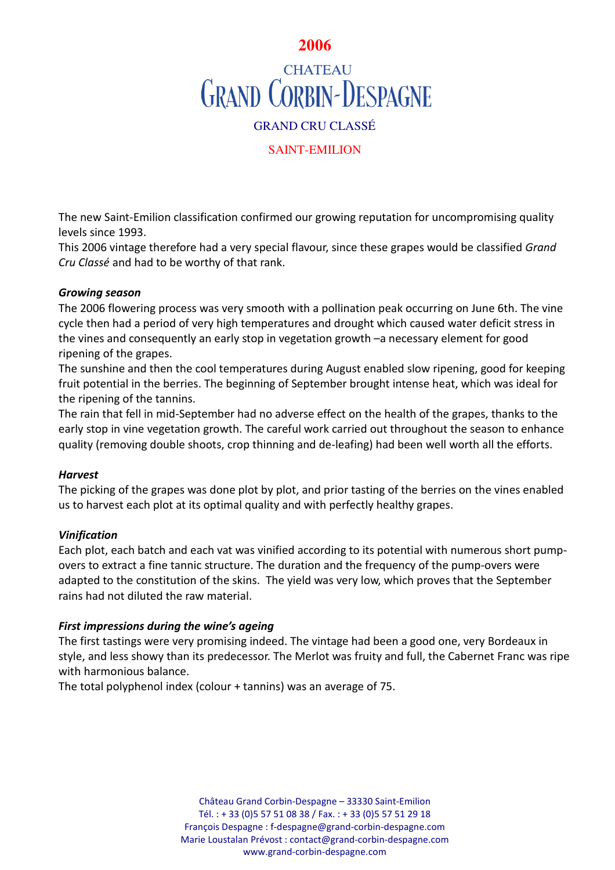

# **CHATEAU GRAND CORBIN-DESPAGNE**

# GRAND CRU CLASSÉ

# SAINT-EMILION

The new Saint-Emilion classification confirmed our growing reputation for uncompromising quality levels since 1993.

This 2006 vintage therefore had a very special flavour, since these grapes would be classified *Grand Cru Classé* and had to be worthy of that rank.

# *Growing season*

The 2006 flowering process was very smooth with a pollination peak occurring on June 6th. The vine cycle then had a period of very high temperatures and drought which caused water deficit stress in the vines and consequently an early stop in vegetation growth –a necessary element for good ripening of the grapes.

The sunshine and then the cool temperatures during August enabled slow ripening, good for keeping fruit potential in the berries. The beginning of September brought intense heat, which was ideal for the ripening of the tannins.

The rain that fell in mid-September had no adverse effect on the health of the grapes, thanks to the early stop in vine vegetation growth. The careful work carried out throughout the season to enhance quality (removing double shoots, crop thinning and de-leafing) had been well worth all the efforts.

## *Harvest*

The picking of the grapes was done plot by plot, and prior tasting of the berries on the vines enabled us to harvest each plot at its optimal quality and with perfectly healthy grapes.

# *Vinification*

Each plot, each batch and each vat was vinified according to its potential with numerous short pumpovers to extract a fine tannic structure. The duration and the frequency of the pump-overs were adapted to the constitution of the skins. The yield was very low, which proves that the September rains had not diluted the raw material.

# *First impressions during the wine's ageing*

The first tastings were very promising indeed. The vintage had been a good one, very Bordeaux in style, and less showy than its predecessor. The Merlot was fruity and full, the Cabernet Franc was ripe with harmonious balance.

The total polyphenol index (colour + tannins) was an average of 75.

Château Grand Corbin-Despagne – 33330 Saint-Emilion Tél. : + 33 (0)5 57 51 08 38 / Fax. : + 33 (0)5 57 51 29 18 François Despagne : f-despagne@grand-corbin-despagne.com Marie Loustalan Prévost : contact@grand-corbin-despagne.com www.grand-corbin-despagne.com